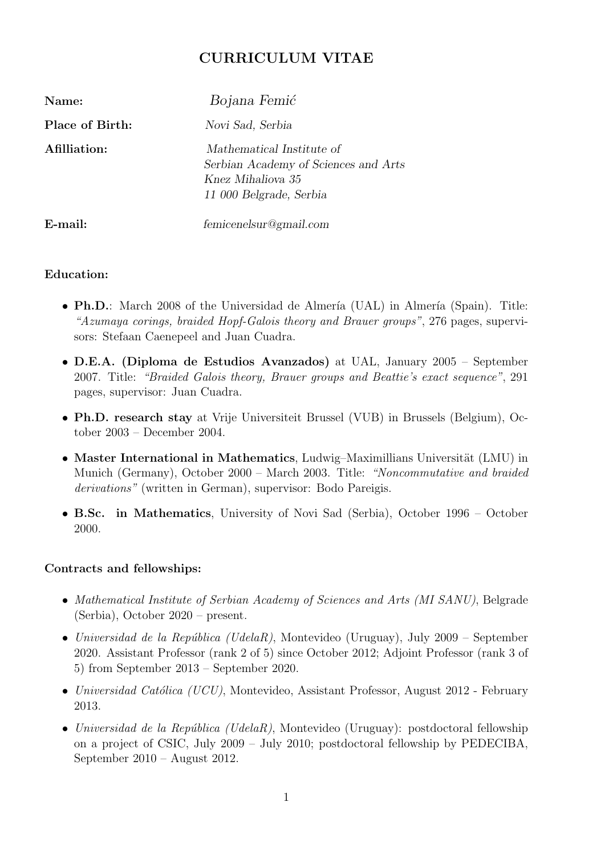# CURRICULUM VITAE

| Name:           | Bojana Femić                                                                                                      |
|-----------------|-------------------------------------------------------------------------------------------------------------------|
| Place of Birth: | Novi Sad, Serbia                                                                                                  |
| Afilliation:    | Mathematical Institute of<br>Serbian Academy of Sciences and Arts<br>Knez Mihaliova 35<br>11 000 Belgrade, Serbia |
| E-mail:         | femicenelsur@gmail.com                                                                                            |

## Education:

- Ph.D.: March 2008 of the Universidad de Almería (UAL) in Almería (Spain). Title: "Azumaya corings, braided Hopf-Galois theory and Brauer groups", 276 pages, supervisors: Stefaan Caenepeel and Juan Cuadra.
- D.E.A. (Diploma de Estudios Avanzados) at UAL, January 2005 September 2007. Title: "Braided Galois theory, Brauer groups and Beattie's exact sequence", 291 pages, supervisor: Juan Cuadra.
- Ph.D. research stay at Vrije Universiteit Brussel (VUB) in Brussels (Belgium), October 2003 – December 2004.
- Master International in Mathematics, Ludwig–Maximillians Universität (LMU) in Munich (Germany), October 2000 – March 2003. Title: "Noncommutative and braided derivations" (written in German), supervisor: Bodo Pareigis.
- B.Sc. in Mathematics, University of Novi Sad (Serbia), October 1996 October 2000.

## Contracts and fellowships:

- Mathematical Institute of Serbian Academy of Sciences and Arts (MI SANU), Belgrade (Serbia), October 2020 – present.
- Universidad de la República (UdelaR), Montevideo (Uruguay), July 2009 September 2020. Assistant Professor (rank 2 of 5) since October 2012; Adjoint Professor (rank 3 of 5) from September 2013 – September 2020.
- Universidad Católica (UCU), Montevideo, Assistant Professor, August 2012 February 2013.
- Universidad de la República (UdelaR), Montevideo (Uruguay): postdoctoral fellowship on a project of CSIC, July 2009 – July 2010; postdoctoral fellowship by PEDECIBA, September 2010 – August 2012.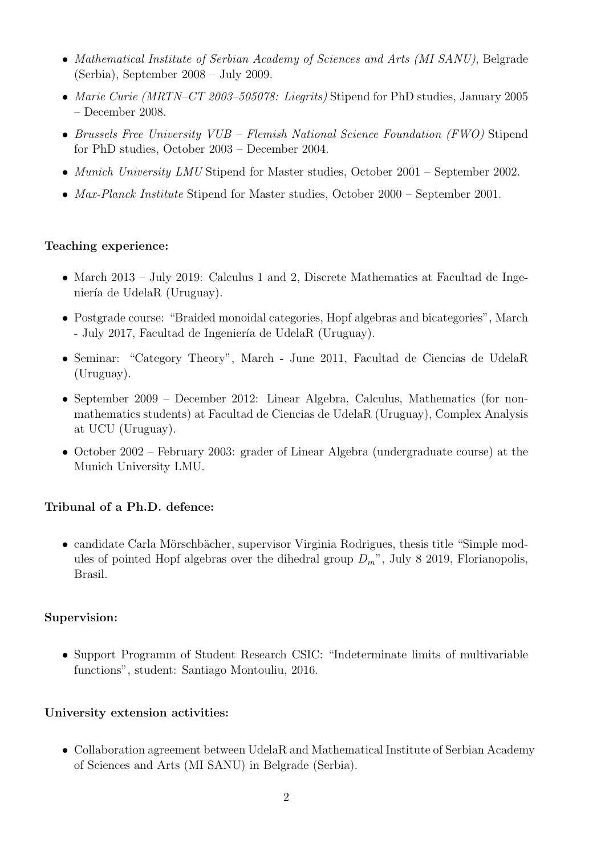- Mathematical Institute of Serbian Academy of Sciences and Arts (MI SANU), Belgrade (Serbia), September 2008 – July 2009.
- Marie Curie (MRTN–CT 2003–505078: Liegrits) Stipend for PhD studies, January 2005 – December 2008.
- Brussels Free University VUB Flemish National Science Foundation (FWO) Stipend for PhD studies, October 2003 – December 2004.
- Munich University LMU Stipend for Master studies, October 2001 September 2002.
- Max-Planck Institute Stipend for Master studies, October 2000 September 2001.

## Teaching experience:

- March 2013 July 2019: Calculus 1 and 2, Discrete Mathematics at Facultad de Ingeniería de UdelaR (Uruguay).
- Postgrade course: "Braided monoidal categories, Hopf algebras and bicategories", March - July 2017, Facultad de Ingeniería de UdelaR (Uruguay).
- Seminar: "Category Theory", March June 2011, Facultad de Ciencias de UdelaR (Uruguay).
- September 2009 December 2012: Linear Algebra, Calculus, Mathematics (for nonmathematics students) at Facultad de Ciencias de UdelaR (Uruguay), Complex Analysis at UCU (Uruguay).
- October 2002 February 2003: grader of Linear Algebra (undergraduate course) at the Munich University LMU.

# Tribunal of a Ph.D. defence:

• candidate Carla Mörschbächer, supervisor Virginia Rodrigues, thesis title "Simple modules of pointed Hopf algebras over the dihedral group  $D_m$ ", July 8 2019, Florianopolis, Brasil.

## Supervision:

• Support Programm of Student Research CSIC: "Indeterminate limits of multivariable functions", student: Santiago Montouliu, 2016.

# University extension activities:

• Collaboration agreement between UdelaR and Mathematical Institute of Serbian Academy of Sciences and Arts (MI SANU) in Belgrade (Serbia).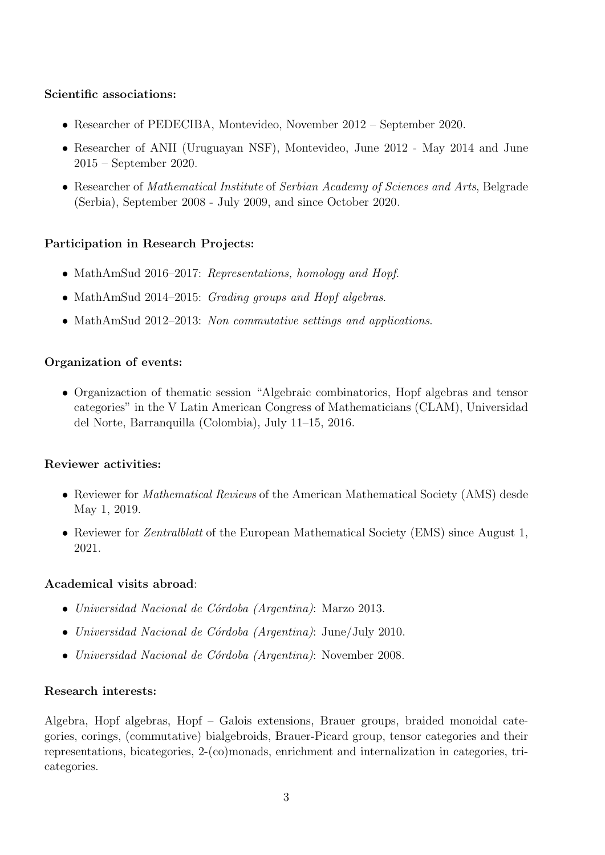#### Scientific associations:

- Researcher of PEDECIBA, Montevideo, November 2012 September 2020.
- Researcher of ANII (Uruguayan NSF), Montevideo, June 2012 May 2014 and June 2015 – September 2020.
- Researcher of *Mathematical Institute* of *Serbian Academy of Sciences and Arts*, Belgrade (Serbia), September 2008 - July 2009, and since October 2020.

## Participation in Research Projects:

- MathAmSud 2016–2017: Representations, homology and Hopf.
- MathAmSud 2014–2015: *Grading groups and Hopf algebras*.
- MathAmSud 2012–2013: Non commutative settings and applications.

#### Organization of events:

• Organizaction of thematic session "Algebraic combinatorics, Hopf algebras and tensor categories" in the V Latin American Congress of Mathematicians (CLAM), Universidad del Norte, Barranquilla (Colombia), July 11–15, 2016.

## Reviewer activities:

- Reviewer for *Mathematical Reviews* of the American Mathematical Society (AMS) desde May 1, 2019.
- Reviewer for *Zentralblatt* of the European Mathematical Society (EMS) since August 1, 2021.

#### Academical visits abroad:

- Universidad Nacional de C´ordoba (Argentina): Marzo 2013.
- Universidad Nacional de Córdoba (Argentina): June/July 2010.
- Universidad Nacional de Córdoba (Argentina): November 2008.

#### Research interests:

Algebra, Hopf algebras, Hopf – Galois extensions, Brauer groups, braided monoidal categories, corings, (commutative) bialgebroids, Brauer-Picard group, tensor categories and their representations, bicategories, 2-(co)monads, enrichment and internalization in categories, tricategories.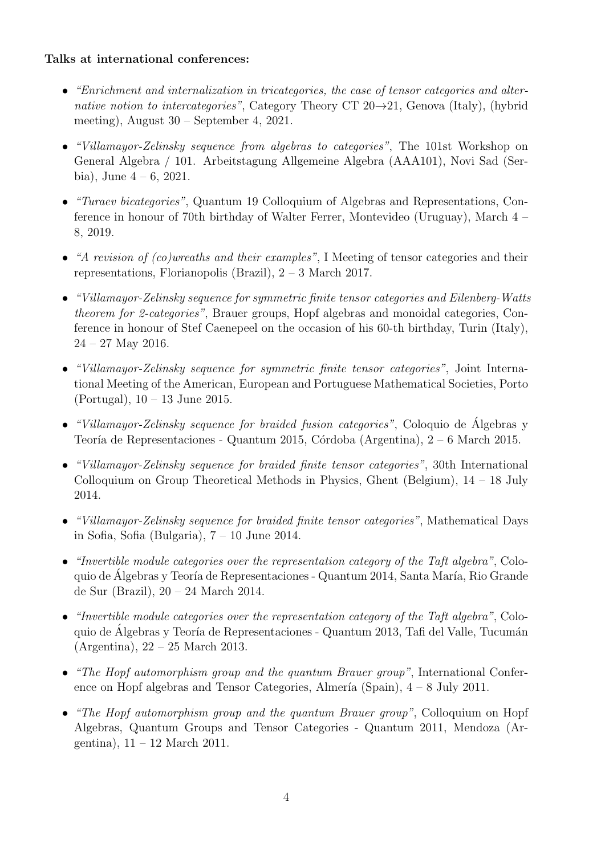## Talks at international conferences:

- "Enrichment and internalization in tricategories, the case of tensor categories and alternative notion to intercategories", Category Theory CT  $20\rightarrow 21$ , Genova (Italy), (hybrid meeting), August 30 – September 4, 2021.
- "Villamayor-Zelinsky sequence from algebras to categories", The 101st Workshop on General Algebra / 101. Arbeitstagung Allgemeine Algebra (AAA101), Novi Sad (Serbia), June  $4 - 6$ , 2021.
- "Turaev bicategories", Quantum 19 Colloquium of Algebras and Representations, Conference in honour of 70th birthday of Walter Ferrer, Montevideo (Uruguay), March 4 – 8, 2019.
- "A revision of (co)wreaths and their examples", I Meeting of tensor categories and their representations, Florianopolis (Brazil), 2 – 3 March 2017.
- "Villamayor-Zelinsky sequence for symmetric finite tensor categories and Eilenberg-Watts theorem for 2-categories", Brauer groups, Hopf algebras and monoidal categories, Conference in honour of Stef Caenepeel on the occasion of his 60-th birthday, Turin (Italy), 24 – 27 May 2016.
- "Villamayor-Zelinsky sequence for symmetric finite tensor categories", Joint International Meeting of the American, European and Portuguese Mathematical Societies, Porto (Portugal), 10 – 13 June 2015.
- "Villamayor-Zelinsky sequence for braided fusion categories", Coloquio de Álgebras y Teoría de Representaciones - Quantum 2015, Córdoba (Argentina),  $2-6$  March 2015.
- "Villamayor-Zelinsky sequence for braided finite tensor categories", 30th International Colloquium on Group Theoretical Methods in Physics, Ghent (Belgium), 14 – 18 July 2014.
- "Villamayor-Zelinsky sequence for braided finite tensor categories", Mathematical Days in Sofia, Sofia (Bulgaria), 7 – 10 June 2014.
- "Invertible module categories over the representation category of the Taft algebra", Coloquio de Álgebras y Teoría de Representaciones - Quantum 2014, Santa María, Rio Grande de Sur (Brazil), 20 – 24 March 2014.
- "Invertible module categories over the representation category of the Taft algebra", Coloquio de Álgebras y Teoría de Representaciones - Quantum 2013, Tafi del Valle, Tucumán (Argentina), 22 – 25 March 2013.
- "The Hopf automorphism group and the quantum Brauer group", International Conference on Hopf algebras and Tensor Categories, Almería (Spain),  $4 - 8$  July 2011.
- "The Hopf automorphism group and the quantum Brauer group", Colloquium on Hopf Algebras, Quantum Groups and Tensor Categories - Quantum 2011, Mendoza (Argentina), 11 – 12 March 2011.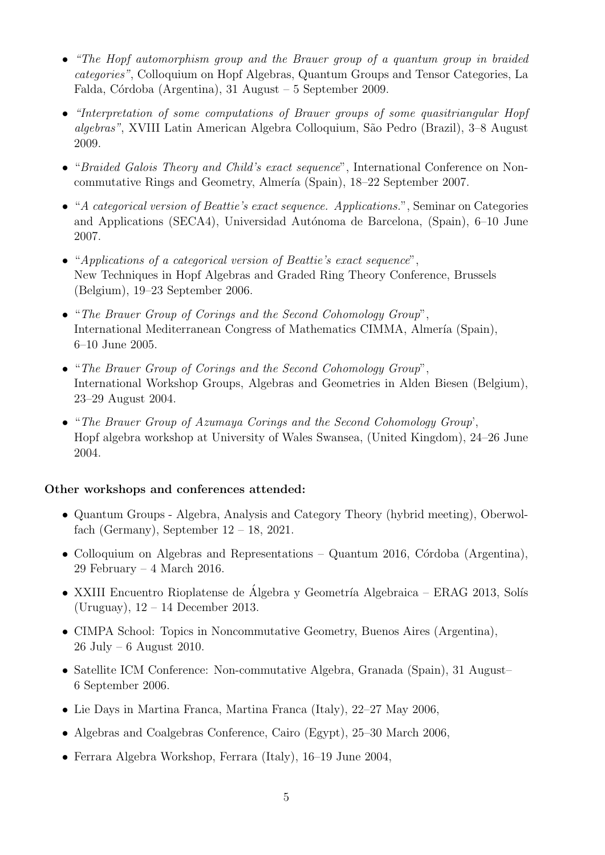- "The Hopf automorphism group and the Brauer group of a quantum group in braided categories", Colloquium on Hopf Algebras, Quantum Groups and Tensor Categories, La Falda, Córdoba (Argentina), 31 August – 5 September 2009.
- "Interpretation of some computations of Brauer groups of some quasitriangular Hopf algebras", XVIII Latin American Algebra Colloquium, São Pedro (Brazil), 3–8 August 2009.
- "Braided Galois Theory and Child's exact sequence", International Conference on Noncommutative Rings and Geometry, Almería (Spain), 18–22 September 2007.
- "A categorical version of Beattie's exact sequence. Applications.", Seminar on Categories and Applications (SECA4), Universidad Autónoma de Barcelona, (Spain), 6–10 June 2007.
- "Applications of a categorical version of Beattie's exact sequence", New Techniques in Hopf Algebras and Graded Ring Theory Conference, Brussels (Belgium), 19–23 September 2006.
- "The Brauer Group of Corings and the Second Cohomology Group", International Mediterranean Congress of Mathematics CIMMA, Almería (Spain), 6–10 June 2005.
- "The Brauer Group of Corings and the Second Cohomology Group", International Workshop Groups, Algebras and Geometries in Alden Biesen (Belgium), 23–29 August 2004.
- "The Brauer Group of Azumaya Corings and the Second Cohomology Group', Hopf algebra workshop at University of Wales Swansea, (United Kingdom), 24–26 June 2004.

#### Other workshops and conferences attended:

- Quantum Groups Algebra, Analysis and Category Theory (hybrid meeting), Oberwolfach (Germany), September 12 – 18, 2021.
- Colloquium on Algebras and Representations Quantum 2016, Córdoba (Argentina), 29 February – 4 March 2016.
- XXIII Encuentro Rioplatense de Álgebra y Geometría Algebraica ERAG 2013, Solís (Uruguay), 12 – 14 December 2013.
- CIMPA School: Topics in Noncommutative Geometry, Buenos Aires (Argentina), 26 July – 6 August 2010.
- Satellite ICM Conference: Non-commutative Algebra, Granada (Spain), 31 August– 6 September 2006.
- Lie Days in Martina Franca, Martina Franca (Italy), 22–27 May 2006,
- Algebras and Coalgebras Conference, Cairo (Egypt), 25–30 March 2006,
- Ferrara Algebra Workshop, Ferrara (Italy), 16–19 June 2004,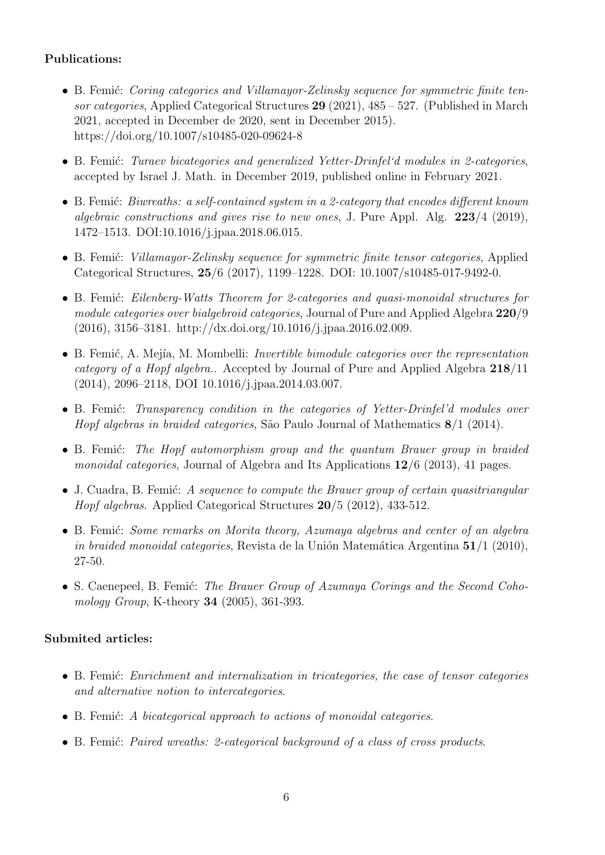## Publications:

- B. Femić: *Coring categories and Villamayor-Zelinsky sequence for symmetric finite ten*sor categories, Applied Categorical Structures 29 (2021), 485 – 527. (Published in March 2021, accepted in December de 2020, sent in December 2015). https://doi.org/10.1007/s10485-020-09624-8
- B. Femić: Turaev bicategories and generalized Yetter-Drinfel'd modules in 2-categories, accepted by Israel J. Math. in December 2019, published online in February 2021.
- B. Femić: *Biwreaths: a self-contained system in a 2-category that encodes different known* algebraic constructions and gives rise to new ones, J. Pure Appl. Alg. 223/4 (2019), 1472–1513. DOI:10.1016/j.jpaa.2018.06.015.
- B. Femić: *Villamayor-Zelinsky sequence for symmetric finite tensor categories*, Applied Categorical Structures, 25/6 (2017), 1199–1228. DOI: 10.1007/s10485-017-9492-0.
- B. Femić: Eilenberg-Watts Theorem for 2-categories and quasi-monoidal structures for module categories over bialgebroid categories, Journal of Pure and Applied Algebra 220/9 (2016), 3156–3181. http://dx.doi.org/10.1016/j.jpaa.2016.02.009.
- B. Femić, A. Mejía, M. Mombelli: *Invertible bimodule categories over the representation* category of a Hopf algebra.. Accepted by Journal of Pure and Applied Algebra 218/11 (2014), 2096–2118, DOI 10.1016/j.jpaa.2014.03.007.
- B. Femić: Transparency condition in the categories of Yetter-Drinfel'd modules over *Hopf algebras in braided categories*, São Paulo Journal of Mathematics  $8/1$  (2014).
- B. Femić: The Hopf automorphism group and the quantum Brauer group in braided monoidal categories, Journal of Algebra and Its Applications  $12/6$  (2013), 41 pages.
- J. Cuadra, B. Femić: A sequence to compute the Brauer group of certain quasitriangular Hopf algebras. Applied Categorical Structures 20/5 (2012), 433-512.
- B. Femić: Some remarks on Morita theory, Azumaya algebras and center of an algebra in braided monoidal categories, Revista de la Unión Matemática Argentina  $51/1$  (2010), 27-50.
- S. Caenepeel, B. Femić: The Brauer Group of Azumaya Corings and the Second Cohomology Group, K-theory 34 (2005), 361-393.

## Submited articles:

- B. Femić: *Enrichment and internalization in tricategories, the case of tensor categories* and alternative notion to intercategories.
- B. Femić: A bicategorical approach to actions of monoidal categories.
- B. Femić: *Paired wreaths: 2-categorical background of a class of cross products.*